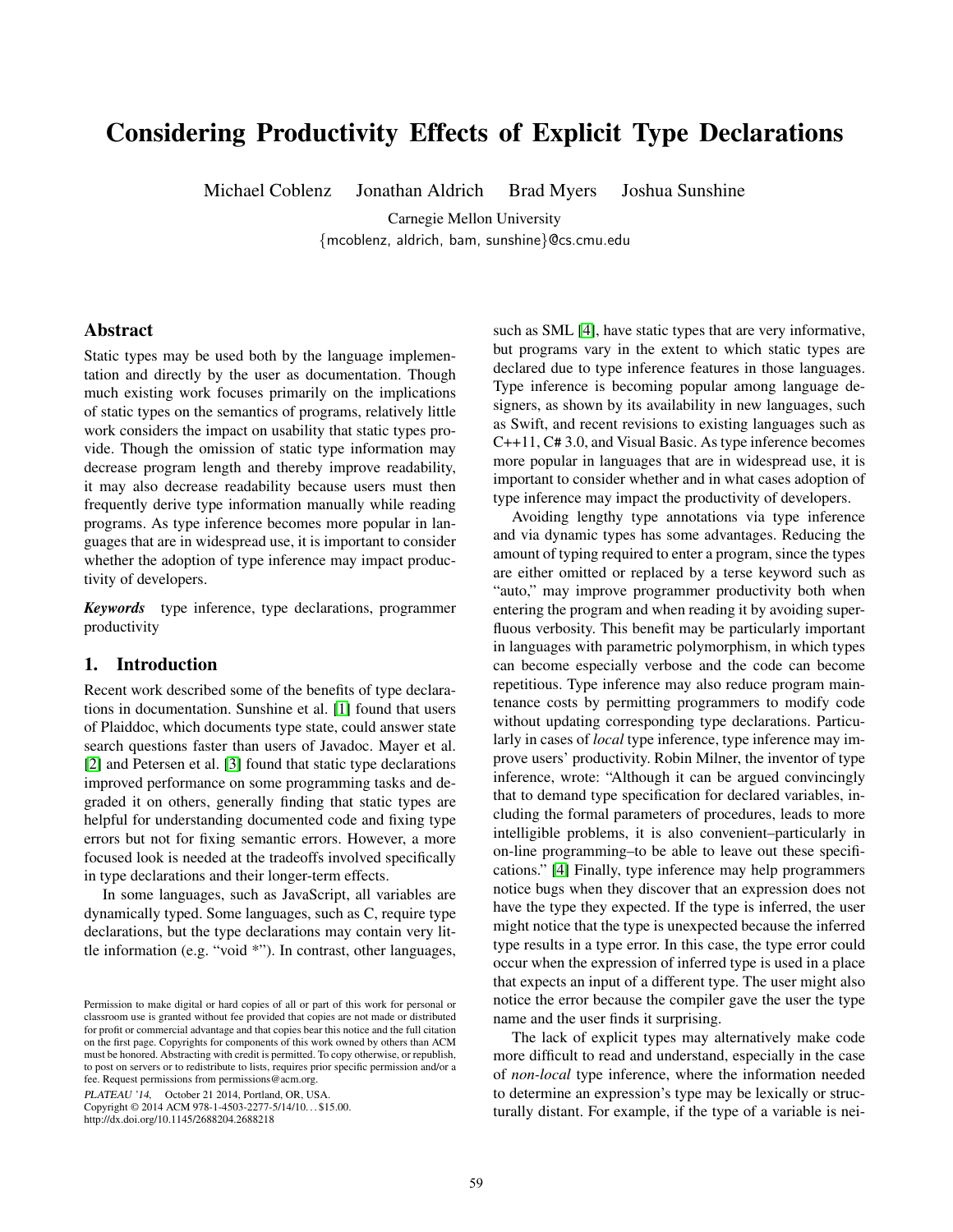# Considering Productivity Effects of Explicit Type Declarations

Michael Coblenz Jonathan Aldrich Brad Myers Joshua Sunshine

Carnegie Mellon University {mcoblenz, aldrich, bam, sunshine}@cs.cmu.edu

## Abstract

Static types may be used both by the language implementation and directly by the user as documentation. Though much existing work focuses primarily on the implications of static types on the semantics of programs, relatively little work considers the impact on usability that static types provide. Though the omission of static type information may decrease program length and thereby improve readability, it may also decrease readability because users must then frequently derive type information manually while reading programs. As type inference becomes more popular in languages that are in widespread use, it is important to consider whether the adoption of type inference may impact productivity of developers.

*Keywords* type inference, type declarations, programmer productivity

## 1. Introduction

Recent work described some of the benefits of type declarations in documentation. Sunshine et al. [\[1\]](#page-2-0) found that users of Plaiddoc, which documents type state, could answer state search questions faster than users of Javadoc. Mayer et al. [\[2\]](#page-2-1) and Petersen et al. [\[3\]](#page-2-2) found that static type declarations improved performance on some programming tasks and degraded it on others, generally finding that static types are helpful for understanding documented code and fixing type errors but not for fixing semantic errors. However, a more focused look is needed at the tradeoffs involved specifically in type declarations and their longer-term effects.

In some languages, such as JavaScript, all variables are dynamically typed. Some languages, such as C, require type declarations, but the type declarations may contain very little information (e.g. "void \*"). In contrast, other languages,

PLATEAU '14, October 21 2014, Portland, OR, USA.

Copyright © 2014 ACM 978-1-4503-2277-5/14/10. . . \$15.00. http://dx.doi.org/10.1145/2688204.2688218

such as SML [\[4\]](#page-2-3), have static types that are very informative, but programs vary in the extent to which static types are declared due to type inference features in those languages. Type inference is becoming popular among language designers, as shown by its availability in new languages, such as Swift, and recent revisions to existing languages such as C++11, C# 3.0, and Visual Basic. As type inference becomes more popular in languages that are in widespread use, it is important to consider whether and in what cases adoption of type inference may impact the productivity of developers.

Avoiding lengthy type annotations via type inference and via dynamic types has some advantages. Reducing the amount of typing required to enter a program, since the types are either omitted or replaced by a terse keyword such as "auto," may improve programmer productivity both when entering the program and when reading it by avoiding superfluous verbosity. This benefit may be particularly important in languages with parametric polymorphism, in which types can become especially verbose and the code can become repetitious. Type inference may also reduce program maintenance costs by permitting programmers to modify code without updating corresponding type declarations. Particularly in cases of *local* type inference, type inference may improve users' productivity. Robin Milner, the inventor of type inference, wrote: "Although it can be argued convincingly that to demand type specification for declared variables, including the formal parameters of procedures, leads to more intelligible problems, it is also convenient–particularly in on-line programming–to be able to leave out these specifications." [\[4\]](#page-2-3) Finally, type inference may help programmers notice bugs when they discover that an expression does not have the type they expected. If the type is inferred, the user might notice that the type is unexpected because the inferred type results in a type error. In this case, the type error could occur when the expression of inferred type is used in a place that expects an input of a different type. The user might also notice the error because the compiler gave the user the type name and the user finds it surprising.

The lack of explicit types may alternatively make code more difficult to read and understand, especially in the case of *non-local* type inference, where the information needed to determine an expression's type may be lexically or structurally distant. For example, if the type of a variable is nei-

Permission to make digital or hard copies of all or part of this work for personal or classroom use is granted without fee provided that copies are not made or distributed for profit or commercial advantage and that copies bear this notice and the full citation on the first page. Copyrights for components of this work owned by others than ACM must be honored. Abstracting with credit is permitted. To copy otherwise, or republish, to post on servers or to redistribute to lists, requires prior specific permission and/or a fee. Request permissions from permissions@acm.org.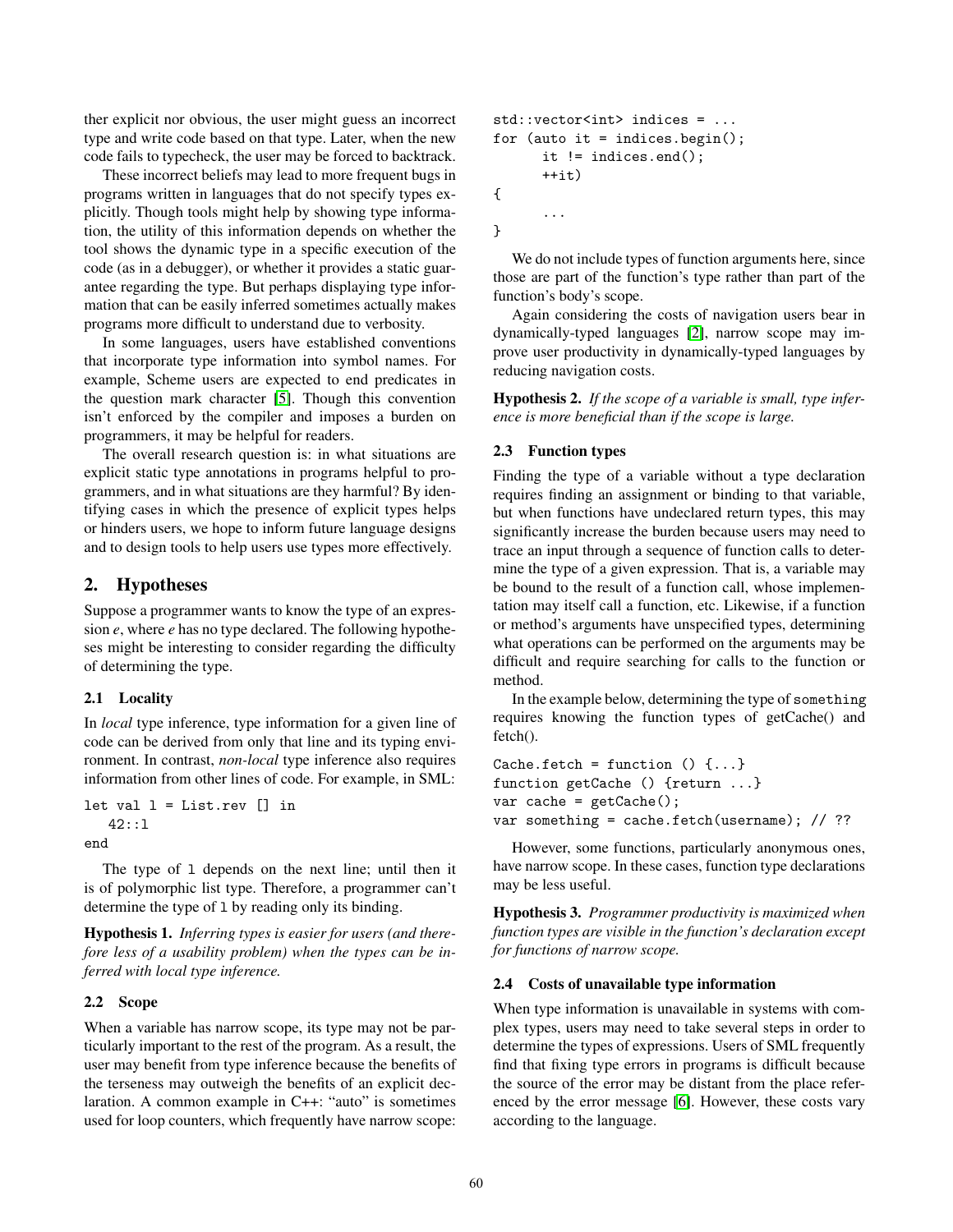ther explicit nor obvious, the user might guess an incorrect type and write code based on that type. Later, when the new code fails to typecheck, the user may be forced to backtrack.

These incorrect beliefs may lead to more frequent bugs in programs written in languages that do not specify types explicitly. Though tools might help by showing type information, the utility of this information depends on whether the tool shows the dynamic type in a specific execution of the code (as in a debugger), or whether it provides a static guarantee regarding the type. But perhaps displaying type information that can be easily inferred sometimes actually makes programs more difficult to understand due to verbosity.

In some languages, users have established conventions that incorporate type information into symbol names. For example, Scheme users are expected to end predicates in the question mark character [\[5\]](#page-2-4). Though this convention isn't enforced by the compiler and imposes a burden on programmers, it may be helpful for readers.

The overall research question is: in what situations are explicit static type annotations in programs helpful to programmers, and in what situations are they harmful? By identifying cases in which the presence of explicit types helps or hinders users, we hope to inform future language designs and to design tools to help users use types more effectively.

# 2. Hypotheses

Suppose a programmer wants to know the type of an expression *e*, where *e* has no type declared. The following hypotheses might be interesting to consider regarding the difficulty of determining the type.

#### 2.1 Locality

In *local* type inference, type information for a given line of code can be derived from only that line and its typing environment. In contrast, *non-local* type inference also requires information from other lines of code. For example, in SML:

```
let val l = List.rev [] in
   42::l
end
```
The type of 1 depends on the next line; until then it is of polymorphic list type. Therefore, a programmer can't determine the type of 1 by reading only its binding.

Hypothesis 1. *Inferring types is easier for users (and therefore less of a usability problem) when the types can be inferred with local type inference.*

# 2.2 Scope

When a variable has narrow scope, its type may not be particularly important to the rest of the program. As a result, the user may benefit from type inference because the benefits of the terseness may outweigh the benefits of an explicit declaration. A common example in C++: "auto" is sometimes used for loop counters, which frequently have narrow scope:

```
std::vector<int> indices = ...
for (auto it = indices.begin();
      it != indices.end();
      ++i+{
      ...
}
```
We do not include types of function arguments here, since those are part of the function's type rather than part of the function's body's scope.

Again considering the costs of navigation users bear in dynamically-typed languages [\[2\]](#page-2-1), narrow scope may improve user productivity in dynamically-typed languages by reducing navigation costs.

Hypothesis 2. *If the scope of a variable is small, type inference is more beneficial than if the scope is large.*

#### 2.3 Function types

Finding the type of a variable without a type declaration requires finding an assignment or binding to that variable, but when functions have undeclared return types, this may significantly increase the burden because users may need to trace an input through a sequence of function calls to determine the type of a given expression. That is, a variable may be bound to the result of a function call, whose implementation may itself call a function, etc. Likewise, if a function or method's arguments have unspecified types, determining what operations can be performed on the arguments may be difficult and require searching for calls to the function or method.

In the example below, determining the type of something requires knowing the function types of getCache() and fetch().

```
Cache.fetch = function () \{... \}function getCache () {return ...}
var cache = getCache();
var something = cache.fetch(username); // ??
```
However, some functions, particularly anonymous ones, have narrow scope. In these cases, function type declarations may be less useful.

Hypothesis 3. *Programmer productivity is maximized when function types are visible in the function's declaration except for functions of narrow scope.*

#### 2.4 Costs of unavailable type information

When type information is unavailable in systems with complex types, users may need to take several steps in order to determine the types of expressions. Users of SML frequently find that fixing type errors in programs is difficult because the source of the error may be distant from the place referenced by the error message [\[6\]](#page-2-5). However, these costs vary according to the language.